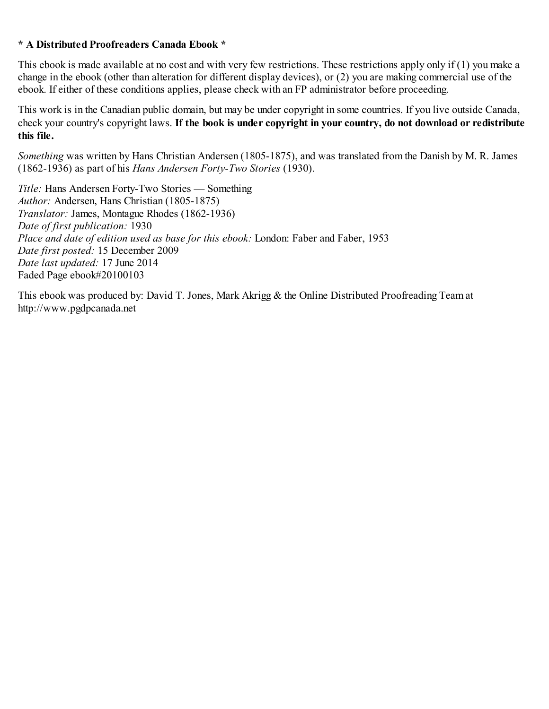#### **\* A Distributed Proofreaders Canada Ebook \***

This ebook is made available at no cost and with very few restrictions. These restrictions apply only if (1) you make a change in the ebook (other than alteration for different display devices), or (2) you are making commercial use of the ebook. If either of these conditions applies, please check with an FP administrator before proceeding.

This work is in the Canadian public domain, but may be under copyright in some countries. If you live outside Canada, check your country's copyright laws. **If the book is under copyright in your country, do not download or redistribute this file.**

*Something* was written by Hans Christian Andersen (1805-1875), and was translated from the Danish by M. R. James (1862-1936) as part of his *Hans Andersen Forty-Two Stories* (1930).

*Title:* Hans Andersen Forty-Two Stories — Something *Author:* Andersen, Hans Christian (1805-1875) *Translator:* James, Montague Rhodes (1862-1936) *Date of first publication:* 1930 *Place and date of edition used as base for this ebook:* London: Faber and Faber, 1953 *Date first posted:* 15 December 2009 *Date last updated:* 17 June 2014 Faded Page ebook#20100103

This ebook was produced by: David T. Jones, Mark Akrigg & the Online Distributed Proofreading Team at http://www.pgdpcanada.net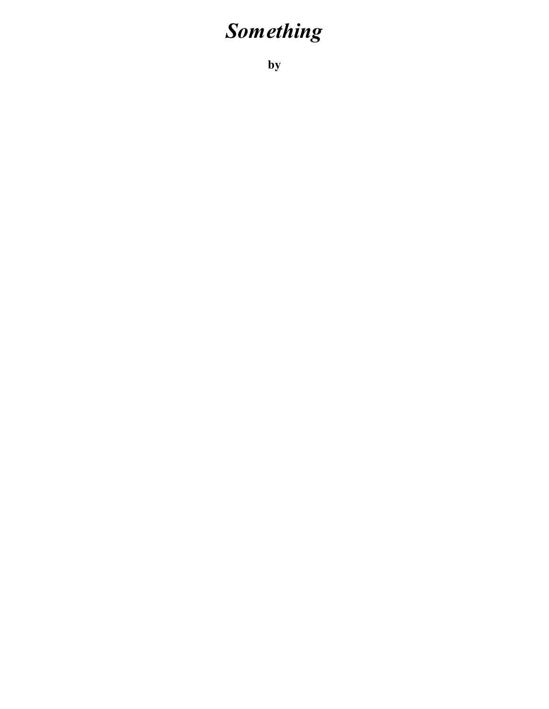# *Something*

**by**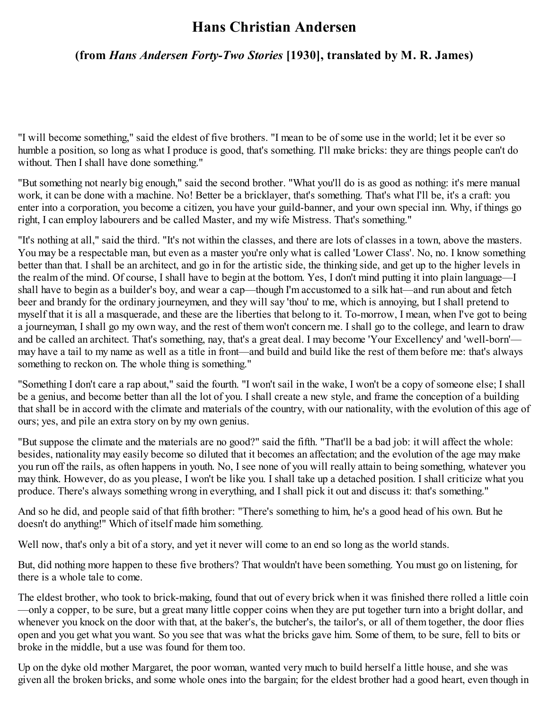## **Hans Christian Andersen**

## **(from** *Hans Andersen Forty-Two Stories* **[1930], translated by M. R. James)**

"I will become something," said the eldest of five brothers. "I mean to be of some use in the world; let it be ever so humble a position, so long as what I produce is good, that's something. I'll make bricks: they are things people can't do without. Then I shall have done something."

"But something not nearly big enough," said the second brother. "What you'll do is as good as nothing: it's mere manual work, it can be done with a machine. No! Better be a bricklayer, that's something. That's what I'll be, it's a craft: you enter into a corporation, you become a citizen, you have your guild-banner, and your own special inn. Why, if things go right, I can employ labourers and be called Master, and my wife Mistress. That's something."

"It's nothing at all," said the third. "It's not within the classes, and there are lots of classes in a town, above the masters. You may be a respectable man, but even as a master you're only what is called 'Lower Class'. No, no. I know something better than that. I shall be an architect, and go in for the artistic side, the thinking side, and get up to the higher levels in the realm of the mind. Of course, I shall have to begin at the bottom. Yes, I don't mind putting it into plain language—I shall have to begin as a builder's boy, and wear a cap—though I'm accustomed to a silk hat—and run about and fetch beer and brandy for the ordinary journeymen, and they will say 'thou' to me, which is annoying, but I shall pretend to myself that it is all a masquerade, and these are the liberties that belong to it. To-morrow, I mean, when I've got to being a journeyman, I shall go my own way, and the rest of them won't concern me. I shall go to the college, and learn to draw and be called an architect. That's something, nay, that's a great deal. I may become 'Your Excellency' and 'well-born' may have a tail to my name as well as a title in front—and build and build like the rest of them before me: that's always something to reckon on. The whole thing is something."

"Something I don't care a rap about," said the fourth. "I won't sail in the wake, I won't be a copy of someone else; I shall be a genius, and become better than all the lot of you. I shall create a new style, and frame the conception of a building that shall be in accord with the climate and materials of the country, with our nationality, with the evolution of this age of ours; yes, and pile an extra story on by my own genius.

"But suppose the climate and the materials are no good?" said the fifth. "That'll be a bad job: it will affect the whole: besides, nationality may easily become so diluted that it becomes an affectation; and the evolution of the age may make you run off the rails, as often happens in youth. No, I see none of you will really attain to being something, whatever you may think. However, do as you please, I won't be like you. I shall take up a detached position. I shall criticize what you produce. There's always something wrong in everything, and I shall pick it out and discuss it: that's something."

And so he did, and people said of that fifth brother: "There's something to him, he's a good head of his own. But he doesn't do anything!" Which of itself made him something.

Well now, that's only a bit of a story, and yet it never will come to an end so long as the world stands.

But, did nothing more happen to these five brothers? That wouldn't have been something. You must go on listening, for there is a whole tale to come.

The eldest brother, who took to brick-making, found that out of every brick when it was finished there rolled a little coin —only a copper, to be sure, but a great many little copper coins when they are put together turn into a bright dollar, and whenever you knock on the door with that, at the baker's, the butcher's, the tailor's, or all of them together, the door flies open and you get what you want. So you see that was what the bricks gave him. Some of them, to be sure, fell to bits or broke in the middle, but a use was found for them too.

Up on the dyke old mother Margaret, the poor woman, wanted very much to build herself a little house, and she was given all the broken bricks, and some whole ones into the bargain; for the eldest brother had a good heart, even though in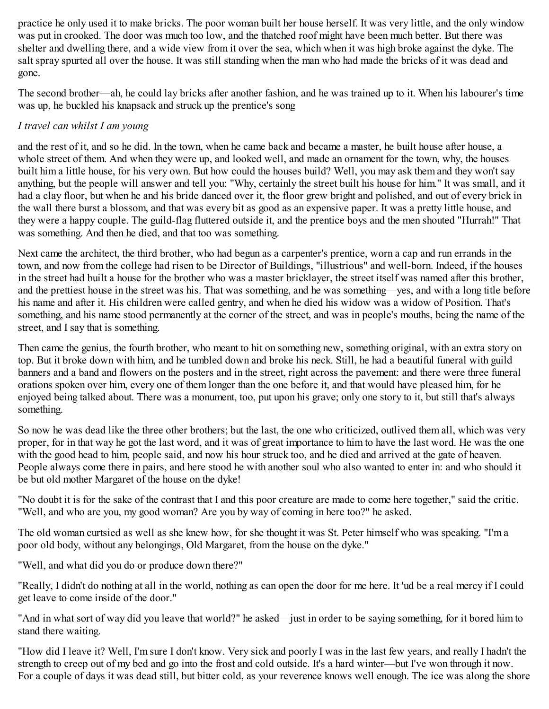practice he only used it to make bricks. The poor woman built her house herself. It was very little, and the only window was put in crooked. The door was much too low, and the thatched roof might have been much better. But there was shelter and dwelling there, and a wide view from it over the sea, which when it was high broke against the dyke. The salt spray spurted all over the house. It was still standing when the man who had made the bricks of it was dead and gone.

The second brother—ah, he could lay bricks after another fashion, and he was trained up to it. When his labourer's time was up, he buckled his knapsack and struck up the prentice's song

### *I travel can whilst I am young*

and the rest of it, and so he did. In the town, when he came back and became a master, he built house after house, a whole street of them. And when they were up, and looked well, and made an ornament for the town, why, the houses built him a little house, for his very own. But how could the houses build? Well, you may ask them and they won't say anything, but the people will answer and tell you: "Why, certainly the street built his house for him." It was small, and it had a clay floor, but when he and his bride danced over it, the floor grew bright and polished, and out of every brick in the wall there burst a blossom, and that was every bit as good as an expensive paper. It was a pretty little house, and they were a happy couple. The guild-flag fluttered outside it, and the prentice boys and the men shouted "Hurrah!" That was something. And then he died, and that too was something.

Next came the architect, the third brother, who had begun as a carpenter's prentice, worn a cap and run errands in the town, and now from the college had risen to be Director of Buildings, "illustrious" and well-born. Indeed, if the houses in the street had built a house for the brother who was a master bricklayer, the street itself was named after this brother, and the prettiest house in the street was his. That was something, and he was something—yes, and with a long title before his name and after it. His children were called gentry, and when he died his widow was a widow of Position. That's something, and his name stood permanently at the corner of the street, and was in people's mouths, being the name of the street, and I say that is something.

Then came the genius, the fourth brother, who meant to hit on something new, something original, with an extra story on top. But it broke down with him, and he tumbled down and broke his neck. Still, he had a beautiful funeral with guild banners and a band and flowers on the posters and in the street, right across the pavement: and there were three funeral orations spoken over him, every one of them longer than the one before it, and that would have pleased him, for he enjoyed being talked about. There was a monument, too, put upon his grave; only one story to it, but still that's always something.

So now he was dead like the three other brothers; but the last, the one who criticized, outlived them all, which was very proper, for in that way he got the last word, and it was of great importance to him to have the last word. He was the one with the good head to him, people said, and now his hour struck too, and he died and arrived at the gate of heaven. People always come there in pairs, and here stood he with another soul who also wanted to enter in: and who should it be but old mother Margaret of the house on the dyke!

"No doubt it is for the sake of the contrast that I and this poor creature are made to come here together," said the critic. "Well, and who are you, my good woman? Are you by way of coming in here too?" he asked.

The old woman curtsied as well as she knew how, for she thought it was St. Peter himself who was speaking. "I'm a poor old body, without any belongings, Old Margaret, from the house on the dyke."

"Well, and what did you do or produce down there?"

"Really, I didn't do nothing at all in the world, nothing as can open the door for me here. It 'ud be a real mercy if I could get leave to come inside of the door."

"And in what sort of way did you leave that world?" he asked—just in order to be saying something, for it bored him to stand there waiting.

"How did I leave it? Well, I'm sure I don't know. Very sick and poorly I was in the last few years, and really I hadn't the strength to creep out of my bed and go into the frost and cold outside. It's a hard winter—but I've won through it now. For a couple of days it was dead still, but bitter cold, as your reverence knows well enough. The ice was along the shore